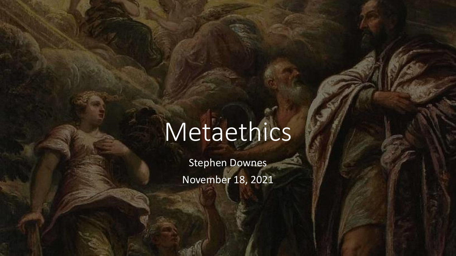# Metaethics

Stephen Downes November 18, 2021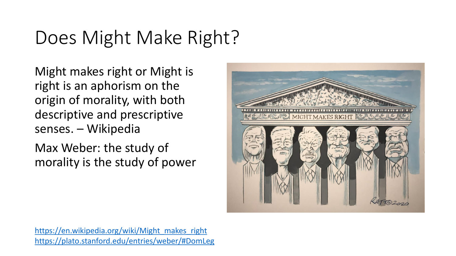# Does Might Make Right?

Might makes right or Might is right is an aphorism on the origin of morality, with both descriptive and prescriptive senses. – Wikipedia

Max Weber: the study of morality is the study of power



[https://en.wikipedia.org/wiki/Might\\_makes\\_right](https://en.wikipedia.org/wiki/Might_makes_right) <https://plato.stanford.edu/entries/weber/#DomLeg>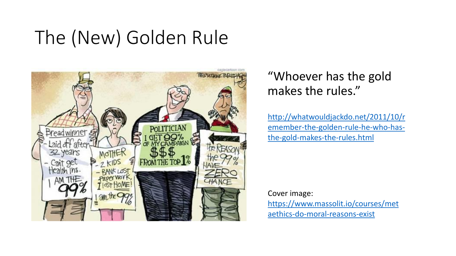## The (New) Golden Rule



#### "Whoever has the gold makes the rules."

http://whatwouldjackdo.net/2011/10/r [emember-the-golden-rule-he-who-has](http://whatwouldjackdo.net/2011/10/remember-the-golden-rule-he-who-has-the-gold-makes-the-rules.html)the-gold-makes-the-rules.html

#### Cover image:

[https://www.massolit.io/courses/met](https://www.massolit.io/courses/metaethics-do-moral-reasons-exist) aethics-do-moral-reasons-exist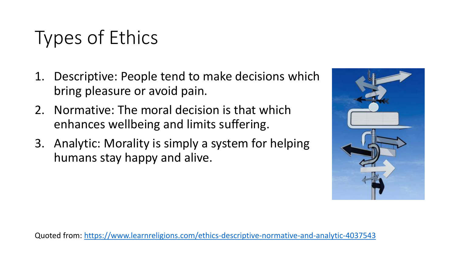### Types of Ethics

- 1. Descriptive: People tend to make decisions which bring pleasure or avoid pain.
- 2. Normative: The moral decision is that which enhances wellbeing and limits suffering.
- 3. Analytic: Morality is simply a system for helping humans stay happy and alive.



Quoted from: <https://www.learnreligions.com/ethics-descriptive-normative-and-analytic-4037543>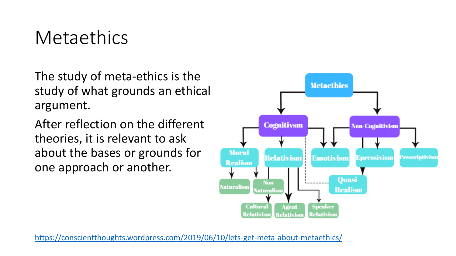#### Metaethics

The study of meta-ethics is the study of what grounds an ethical argument.

After reflection on the different theories, it is relevant to ask about the bases or grounds for one approach or another.



<https://conscientthoughts.wordpress.com/2019/06/10/lets-get-meta-about-metaethics/>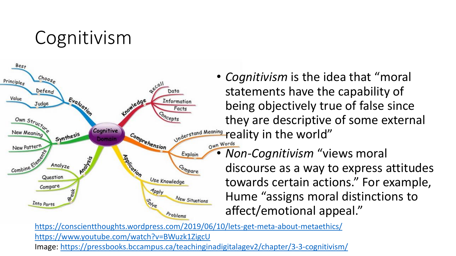### Cognitivism



• *Cognitivism* is the idea that "moral statements have the capability of being objectively true of false since they are descriptive of some external **reaning reality in the world"** 

• *Non-Cognitivism* "views moral discourse as a way to express attitudes towards certain actions." For example, Hume "assigns moral distinctions to affect/emotional appeal."

<https://conscientthoughts.wordpress.com/2019/06/10/lets-get-meta-about-metaethics/> <https://www.youtube.com/watch?v=BWuzk1ZigcU> Image: <https://pressbooks.bccampus.ca/teachinginadigitalagev2/chapter/3-3-cognitivism/>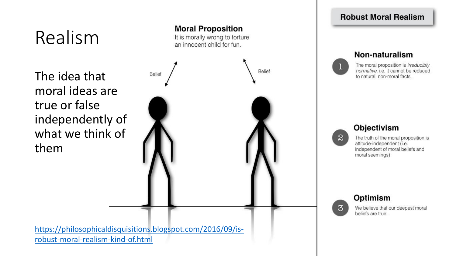# Realism

The idea that moral ideas are true or false independently of what we think of them



**Moral Proposition** 

#### **Robust Moral Realism**



The moral proposition is irreducibly normative, i.e. it cannot be reduced to natural, non-moral facts.



#### Objectivism

The truth of the moral proposition is attitude-independent (i.e. independent of moral beliefs and moral seemings)

| Optimism          |
|-------------------|
| We believe that o |

ieve that our deepest moral

beliefs are true.

[https://philosophicaldisquisitions.blogspot.com/2016/09/is](https://philosophicaldisquisitions.blogspot.com/2016/09/is-robust-moral-realism-kind-of.html)robust-moral-realism-kind-of.html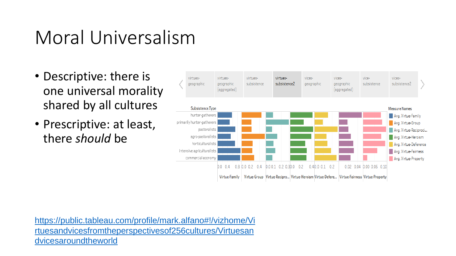#### Moral Universalism

- Descriptive: there is one universal morality shared by all cultures
- Prescriptive: at least, there *should* be



https://public.tableau.com/profile/mark.alfano#!/vizhome/Vi [rtuesandvicesfromtheperspectivesof256cultures/Virtuesan](https://public.tableau.com/profile/mark.alfano#!/vizhome/Virtuesandvicesfromtheperspectivesof256cultures/Virtuesandvicesaroundtheworld) dvicesaroundtheworld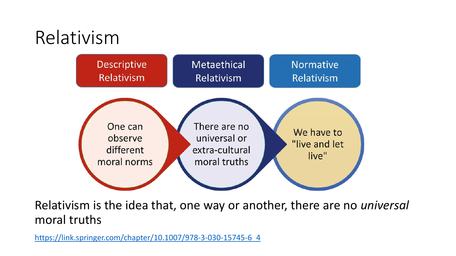#### Relativism



Relativism is the idea that, one way or another, there are no *universal*  moral truths

[https://link.springer.com/chapter/10.1007/978-3-030-15745-6\\_4](https://link.springer.com/chapter/10.1007/978-3-030-15745-6_4)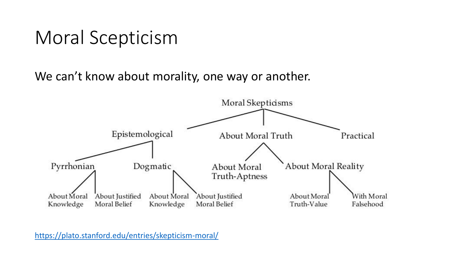#### Moral Scepticism

#### We can't know about morality, one way or another.



<https://plato.stanford.edu/entries/skepticism-moral/>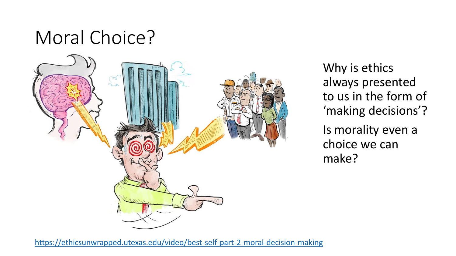

Why is ethics always presented to us in the form of 'making decisions'? Is morality even a choice we can make?

<https://ethicsunwrapped.utexas.edu/video/best-self-part-2-moral-decision-making>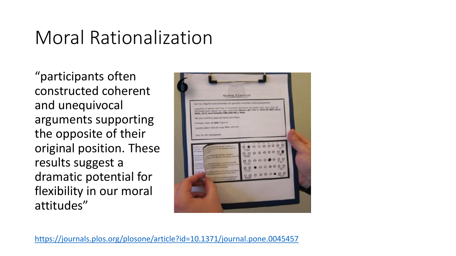#### Moral Rationalization

"participants often constructed coherent and unequivocal arguments supporting the opposite of their original position. These results suggest a dramatic potential for flexibility in our moral attitudes"

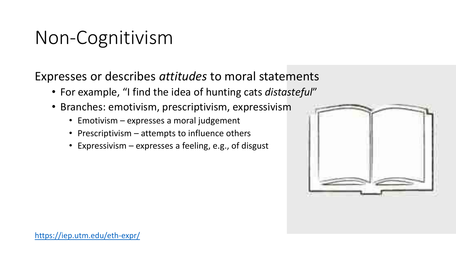## Non-Cognitivism

Expresses or describes *attitudes* to moral statements

- For example, "I find the idea of hunting cats *distasteful*"
- Branches: emotivism, prescriptivism, expressivism
	- Emotivism expresses a moral judgement
	- Prescriptivism attempts to influence others
	- Expressivism expresses a feeling, e.g., of disgust

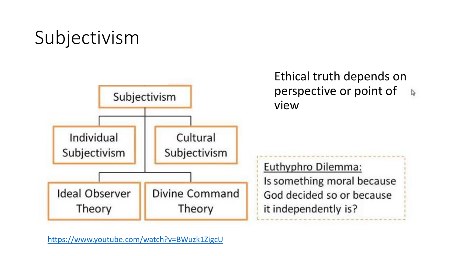# Subjectivism



Ethical truth depends on perspective or point of  $\triangleright$ view

Euthyphro Dilemma: Is something moral because God decided so or because it independently is?

<https://www.youtube.com/watch?v=BWuzk1ZigcU>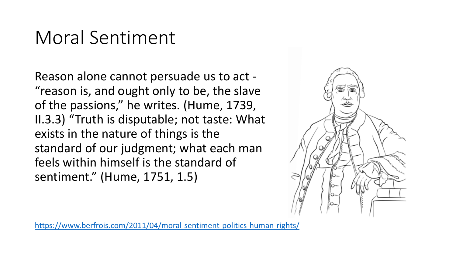#### Moral Sentiment

Reason alone cannot persuade us to act - "reason is, and ought only to be, the slave of the passions," he writes. (Hume, 1739, II.3.3) "Truth is disputable; not taste: What exists in the nature of things is the standard of our judgment; what each man feels within himself is the standard of sentiment." (Hume, 1751, 1.5)



<https://www.berfrois.com/2011/04/moral-sentiment-politics-human-rights/>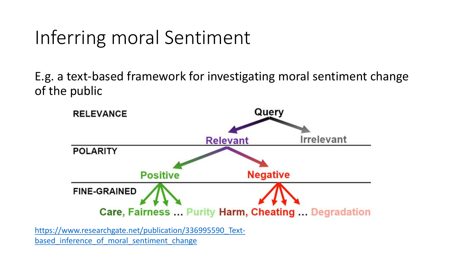#### Inferring moral Sentiment

E.g. a text-based framework for investigating moral sentiment change of the public



based inference of moral sentiment change